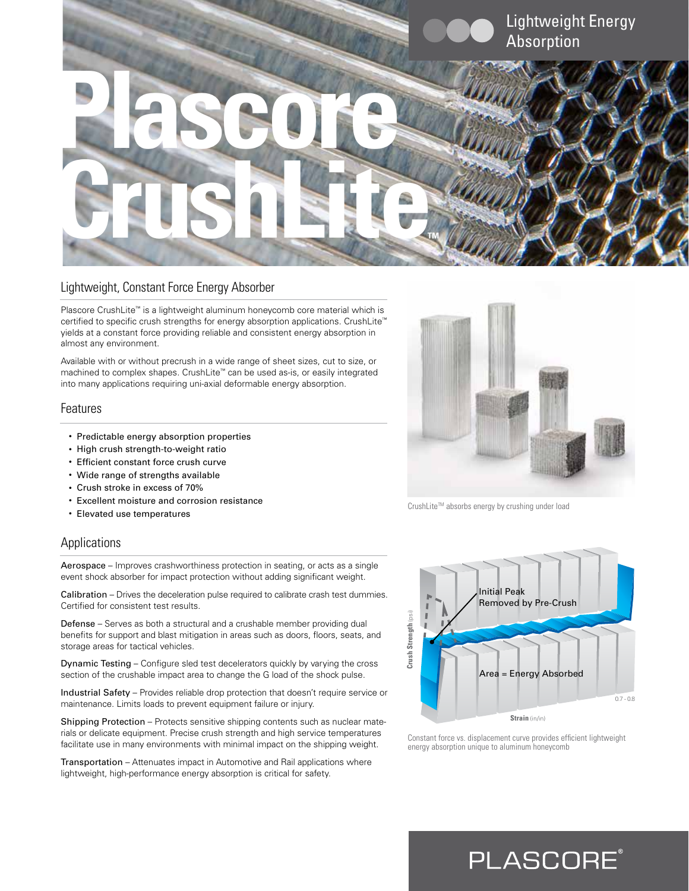

### Lightweight, Constant Force Energy Absorber

Plascore CrushLite™ is a lightweight aluminum honeycomb core material which is certified to specific crush strengths for energy absorption applications. CrushLite™ yields at a constant force providing reliable and consistent energy absorption in almost any environment.

Available with or without precrush in a wide range of sheet sizes, cut to size, or machined to complex shapes. CrushLite™ can be used as-is, or easily integrated into many applications requiring uni-axial deformable energy absorption.

### Features

- Predictable energy absorption properties
- High crush strength-to-weight ratio
- Efficient constant force crush curve
- Wide range of strengths available
- Crush stroke in excess of 70%
- Excellent moisture and corrosion resistance
- Elevated use temperatures

### Applications

Aerospace – Improves crashworthiness protection in seating, or acts as a single event shock absorber for impact protection without adding significant weight.

Calibration – Drives the deceleration pulse required to calibrate crash test dummies. Certified for consistent test results.

Defense – Serves as both a structural and a crushable member providing dual benefits for support and blast mitigation in areas such as doors, floors, seats, and storage areas for tactical vehicles.

Dynamic Testing – Configure sled test decelerators quickly by varying the cross section of the crushable impact area to change the G load of the shock pulse.

Industrial Safety – Provides reliable drop protection that doesn't require service or maintenance. Limits loads to prevent equipment failure or injury.

Shipping Protection – Protects sensitive shipping contents such as nuclear materials or delicate equipment. Precise crush strength and high service temperatures facilitate use in many environments with minimal impact on the shipping weight.

Transportation – Attenuates impact in Automotive and Rail applications where lightweight, high-performance energy absorption is critical for safety.



CrushLite™ absorbs energy by crushing under load



Constant force vs. displacement curve provides efficient lightweight energy absorption unique to aluminum honeycomb

**PLASCORE**®